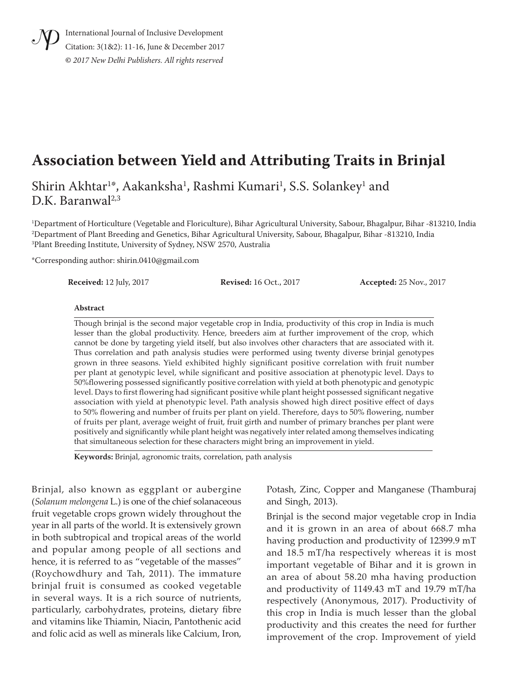International Journal of Inclusive Development Citation: 3(1&2): 11-16, June & December 2017 **©** *2017 New Delhi Publishers. All rights reserved*

# **Association between Yield and Attributing Traits in Brinjal**

Shirin Akhtar<sup>1</sup>\*, Aakanksha<sup>1</sup>, Rashmi Kumari<sup>1</sup>, S.S. Solankey<sup>1</sup> and  $D.K.$  Baranwal<sup>2,3</sup>

1 Department of Horticulture (Vegetable and Floriculture), Bihar Agricultural University, Sabour, Bhagalpur, Bihar -813210, India 2 Department of Plant Breeding and Genetics, Bihar Agricultural University, Sabour, Bhagalpur, Bihar -813210, India 3 Plant Breeding Institute, University of Sydney, NSW 2570, Australia

\*Corresponding author: shirin.0410@gmail.com

**Received:** 12 July, 2017 **Revised:** 16 Oct., 2017 **Accepted:** 25 Nov., 2017

#### **Abstract**

Though brinjal is the second major vegetable crop in India, productivity of this crop in India is much lesser than the global productivity. Hence, breeders aim at further improvement of the crop, which cannot be done by targeting yield itself, but also involves other characters that are associated with it. Thus correlation and path analysis studies were performed using twenty diverse brinjal genotypes grown in three seasons. Yield exhibited highly significant positive correlation with fruit number per plant at genotypic level, while significant and positive association at phenotypic level. Days to 50%flowering possessed significantly positive correlation with yield at both phenotypic and genotypic level. Days to first flowering had significant positive while plant height possessed significant negative association with yield at phenotypic level. Path analysis showed high direct positive effect of days to 50% flowering and number of fruits per plant on yield. Therefore, days to 50% flowering, number of fruits per plant, average weight of fruit, fruit girth and number of primary branches per plant were positively and significantly while plant height was negatively inter related among themselves indicating that simultaneous selection for these characters might bring an improvement in yield.

**Keywords:** Brinjal, agronomic traits, correlation, path analysis

Brinjal, also known as eggplant or aubergine (*Solanum melongena* L.) is one of the chief solanaceous fruit vegetable crops grown widely throughout the year in all parts of the world. It is extensively grown in both subtropical and tropical areas of the world and popular among people of all sections and hence, it is referred to as "vegetable of the masses" (Roychowdhury and Tah, 2011). The immature brinjal fruit is consumed as cooked vegetable in several ways. It is a rich source of nutrients, particularly, carbohydrates, proteins, dietary fibre and vitamins like Thiamin, Niacin, Pantothenic acid and folic acid as well as minerals like Calcium, Iron,

Potash, Zinc, Copper and Manganese (Thamburaj and Singh, 2013).

Brinjal is the second major vegetable crop in India and it is grown in an area of about 668.7 mha having production and productivity of 12399.9 mT and 18.5 mT/ha respectively whereas it is most important vegetable of Bihar and it is grown in an area of about 58.20 mha having production and productivity of 1149.43 mT and 19.79 mT/ha respectively (Anonymous, 2017). Productivity of this crop in India is much lesser than the global productivity and this creates the need for further improvement of the crop. Improvement of yield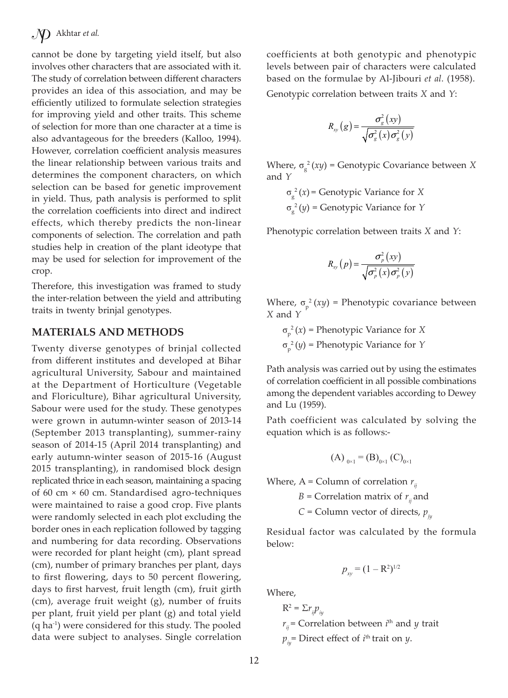cannot be done by targeting yield itself, but also involves other characters that are associated with it. The study of correlation between different characters provides an idea of this association, and may be efficiently utilized to formulate selection strategies for improving yield and other traits. This scheme of selection for more than one character at a time is also advantageous for the breeders (Kalloo, 1994). However, correlation coefficient analysis measures the linear relationship between various traits and determines the component characters, on which selection can be based for genetic improvement in yield. Thus, path analysis is performed to split the correlation coefficients into direct and indirect effects, which thereby predicts the non-linear components of selection. The correlation and path studies help in creation of the plant ideotype that may be used for selection for improvement of the crop.

Therefore, this investigation was framed to study the inter-relation between the yield and attributing traits in twenty brinjal genotypes.

#### **MATERIALS AND METHODS**

Twenty diverse genotypes of brinjal collected from different institutes and developed at Bihar agricultural University, Sabour and maintained at the Department of Horticulture (Vegetable and Floriculture), Bihar agricultural University, Sabour were used for the study. These genotypes were grown in autumn-winter season of 2013-14 (September 2013 transplanting), summer-rainy season of 2014-15 (April 2014 transplanting) and early autumn-winter season of 2015-16 (August 2015 transplanting), in randomised block design replicated thrice in each season, maintaining a spacing of 60 cm × 60 cm. Standardised agro-techniques were maintained to raise a good crop. Five plants were randomly selected in each plot excluding the border ones in each replication followed by tagging and numbering for data recording. Observations were recorded for plant height (cm), plant spread (cm), number of primary branches per plant, days to first flowering, days to 50 percent flowering, days to first harvest, fruit length (cm), fruit girth (cm), average fruit weight (g), number of fruits per plant, fruit yield per plant (g) and total yield (q ha-1) were considered for this study. The pooled data were subject to analyses. Single correlation coefficients at both genotypic and phenotypic levels between pair of characters were calculated based on the formulae by Al-Jibouri *et al.* (1958).

Genotypic correlation between traits *X* and *Y*:

$$
R_{xy}(g) = \frac{\sigma_g^2(xy)}{\sqrt{\sigma_g^2(x)\sigma_g^2(y)}}
$$

Where, σ g 2 (*xy*) = Genotypic Covariance between *X* and *Y*

> σ g 2 (*x*) = Genotypic Variance for *X* σ g 2 (*y*) = Genotypic Variance for *Y*

Phenotypic correlation between traits *X* and *Y*:

$$
R_{xy}\left(p\right) = \frac{\sigma_p^2\left(xy\right)}{\sqrt{\sigma_p^2\left(x\right)\sigma_p^2\left(y\right)}}
$$

Where,  $\sigma_p^2(xy)$  = Phenotypic covariance between *X* and *Y*

 $\sigma_{\rm p}^2(x)$  = Phenotypic Variance for *X* σ p 2 (*y*) = Phenotypic Variance for *Y*

Path analysis was carried out by using the estimates of correlation coefficient in all possible combinations among the dependent variables according to Dewey and Lu (1959).

Path coefficient was calculated by solving the equation which is as follows:-

$$
(A)_{0\times 1} = (B)_{0\times 1} (C)_{0\times 1}
$$

Where,  $A = Column of correlation  $r_{ij}$$ 

*B* = Correlation matrix of  $r_i$  and

*C* = Column vector of directs,  $p_{ij}$ 

Residual factor was calculated by the formula below:

$$
p_{xy} = (1 - R^2)^{1/2}
$$

Where,

 $R^2 = \sum r_{ij} p_{ij}$ 

 $r_{ij}$  = Correlation between *i*<sup>th</sup> and *y* trait

 $p_{ij}$ = Direct effect of *i*<sup>th</sup> trait on *y*.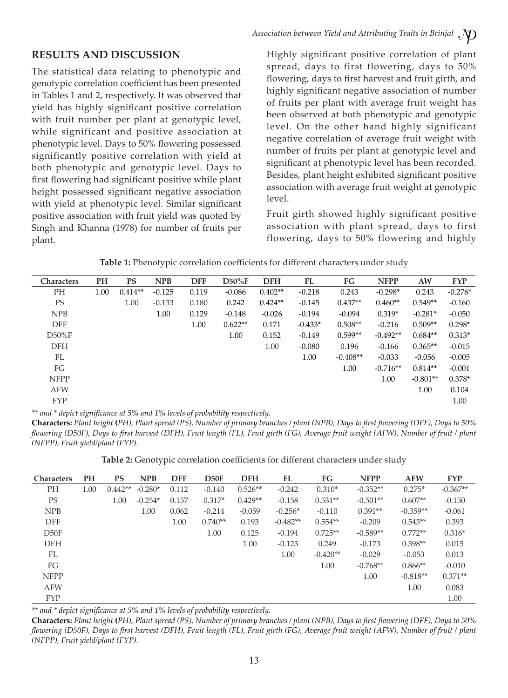### **RESULTS AND DISCUSSION**

The statistical data relating to phenotypic and genotypic correlation coefficient has been presented in Tables 1 and 2, respectively. It was observed that yield has highly significant positive correlation with fruit number per plant at genotypic level, while significant and positive association at phenotypic level. Days to 50% flowering possessed significantly positive correlation with yield at both phenotypic and genotypic level. Days to first flowering had significant positive while plant height possessed significant negative association with yield at phenotypic level. Similar significant positive association with fruit yield was quoted by Singh and Khanna (1978) for number of fruits per plant.

Highly significant positive correlation of plant spread, days to first flowering, days to 50% flowering, days to first harvest and fruit girth, and highly significant negative association of number of fruits per plant with average fruit weight has been observed at both phenotypic and genotypic level. On the other hand highly significant negative correlation of average fruit weight with number of fruits per plant at genotypic level and significant at phenotypic level has been recorded. Besides, plant height exhibited significant positive association with average fruit weight at genotypic level.

Fruit girth showed highly significant positive association with plant spread, days to first flowering, days to 50% flowering and highly

| <b>Characters</b> | PH   | <b>PS</b> | <b>NPB</b> | <b>DFF</b> | $D50\%F$  | <b>DFH</b> | FL        | FG         | <b>NFPP</b> | AW         | <b>FYP</b> |
|-------------------|------|-----------|------------|------------|-----------|------------|-----------|------------|-------------|------------|------------|
| PH                | 1.00 | $0.414**$ | $-0.125$   | 0.119      | $-0.086$  | $0.402**$  | $-0.218$  | 0.243      | $-0.298*$   | 0.243      | $-0.276*$  |
| <b>PS</b>         |      | 1.00      | $-0.133$   | 0.180      | 0.242     | $0.424**$  | $-0.145$  | $0.437**$  | $0.460**$   | $0.549**$  | $-0.160$   |
| <b>NPB</b>        |      |           | 1.00       | 0.129      | $-0.148$  | $-0.026$   | $-0.194$  | $-0.094$   | $0.319*$    | $-0.281*$  | $-0.050$   |
| <b>DFF</b>        |      |           |            | 1.00       | $0.622**$ | 0.171      | $-0.433*$ | $0.508**$  | $-0.216$    | $0.509**$  | $0.298*$   |
| $D50\%F$          |      |           |            |            | 1.00      | 0.152      | $-0.149$  | $0.599**$  | $-0.492**$  | $0.684**$  | $0.313*$   |
| <b>DFH</b>        |      |           |            |            |           | 1.00       | $-0.080$  | 0.196      | $-0.166$    | $0.365**$  | $-0.015$   |
| FL                |      |           |            |            |           |            | 1.00      | $-0.408**$ | $-0.033$    | $-0.056$   | $-0.005$   |
| FG                |      |           |            |            |           |            |           | 1.00       | $-0.716**$  | $0.814**$  | $-0.001$   |
| <b>NFPP</b>       |      |           |            |            |           |            |           |            | 1.00        | $-0.801**$ | $0.378*$   |
| <b>AFW</b>        |      |           |            |            |           |            |           |            |             | 1.00       | 0.104      |
| <b>FYP</b>        |      |           |            |            |           |            |           |            |             |            | 1.00       |

| Table 1: Phenotypic correlation coefficients for different characters under study |  |  |  |
|-----------------------------------------------------------------------------------|--|--|--|
|                                                                                   |  |  |  |

*\*\* and \* depict significance at 5% and 1% levels of probability respectively.*

**Characters:** *Plant height* **(***PH), Plant spread (PS), Number of primary branches / plant (NPB), Days to first flowering (DFF), Days to 50% flowering (D50F), Days to first harvest (DFH), Fruit length (FL), Fruit girth (FG), Average fruit weight (AFW), Number of fruit / plant (NFPP), Fruit yield/plant (FYP).*

**Table 2:** Genotypic correlation coefficients for different characters under study

| <b>Characters</b> | <b>PH</b> | <b>PS</b> | <b>NPB</b> | <b>DFF</b> | D50F      | <b>DFH</b> | FL         | FG         | <b>NFPP</b> | <b>AFW</b> | <b>FYP</b> |
|-------------------|-----------|-----------|------------|------------|-----------|------------|------------|------------|-------------|------------|------------|
| PH                | 1.00      | $0.442**$ | $-0.280*$  | 0.112      | $-0.140$  | $0.526**$  | $-0.242$   | $0.310*$   | $-0.352**$  | $0.275*$   | $-0.367**$ |
| <b>PS</b>         |           | 1.00      | $-0.254*$  | 0.157      | $0.317*$  | $0.429**$  | $-0.158$   | $0.531**$  | $-0.501**$  | $0.607**$  | $-0.150$   |
| <b>NPB</b>        |           |           | 1.00       | 0.062      | $-0.214$  | $-0.059$   | $-0.256*$  | $-0.110$   | $0.391**$   | $-0.359**$ | $-0.061$   |
| <b>DFF</b>        |           |           |            | 1.00       | $0.740**$ | 0.193      | $-0.482**$ | $0.554**$  | $-0.209$    | $0.543**$  | 0.393      |
| D50F              |           |           |            |            | 1.00      | 0.125      | $-0.194$   | $0.725**$  | $-0.589**$  | $0.772**$  | $0.316*$   |
| <b>DFH</b>        |           |           |            |            |           | 1.00       | $-0.123$   | 0.249      | $-0.173$    | $0.398**$  | 0.015      |
| FL                |           |           |            |            |           |            | 1.00       | $-0.420**$ | $-0.029$    | $-0.053$   | 0.013      |
| FG                |           |           |            |            |           |            |            | 1.00       | $-0.768**$  | $0.866**$  | $-0.010$   |
| <b>NFPP</b>       |           |           |            |            |           |            |            |            | 1.00        | $-0.818**$ | $0.371**$  |
| <b>AFW</b>        |           |           |            |            |           |            |            |            |             | 1.00       | 0.083      |
| <b>FYP</b>        |           |           |            |            |           |            |            |            |             |            | 1.00       |

*\*\* and \* depict significance at 5% and 1% levels of probability respectively.*

**Characters:** *Plant height* **(***PH), Plant spread (PS), Number of primary branches / plant (NPB), Days to first flowering (DFF), Days to 50% flowering (D50F), Days to first harvest (DFH), Fruit length (FL), Fruit girth (FG), Average fruit weight (AFW), Number of fruit / plant (NFPP), Fruit yield/plant (FYP).*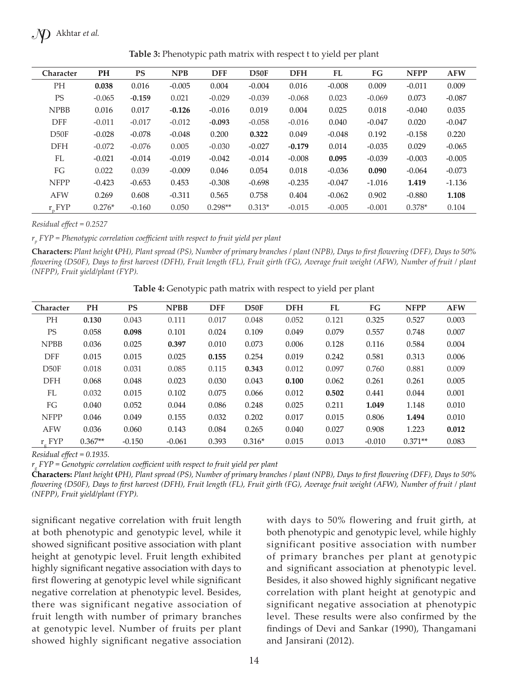$\mathcal{N}$  Akhtar *et al.* 

| <b>Character</b> | <b>PH</b> | <b>PS</b> | <b>NPB</b> | <b>DFF</b> | D50F     | <b>DFH</b> | <b>FL</b> | FG       | <b>NFPP</b> | <b>AFW</b> |
|------------------|-----------|-----------|------------|------------|----------|------------|-----------|----------|-------------|------------|
| <b>PH</b>        | 0.038     | 0.016     | $-0.005$   | 0.004      | $-0.004$ | 0.016      | $-0.008$  | 0.009    | $-0.011$    | 0.009      |
| <b>PS</b>        | $-0.065$  | $-0.159$  | 0.021      | $-0.029$   | $-0.039$ | $-0.068$   | 0.023     | $-0.069$ | 0.073       | $-0.087$   |
| <b>NPBB</b>      | 0.016     | 0.017     | $-0.126$   | $-0.016$   | 0.019    | 0.004      | 0.025     | 0.018    | $-0.040$    | 0.035      |
| <b>DFF</b>       | $-0.011$  | $-0.017$  | $-0.012$   | $-0.093$   | $-0.058$ | $-0.016$   | 0.040     | $-0.047$ | 0.020       | $-0.047$   |
| D50F             | $-0.028$  | $-0.078$  | $-0.048$   | 0.200      | 0.322    | 0.049      | $-0.048$  | 0.192    | $-0.158$    | 0.220      |
| <b>DFH</b>       | $-0.072$  | $-0.076$  | 0.005      | $-0.030$   | $-0.027$ | $-0.179$   | 0.014     | $-0.035$ | 0.029       | $-0.065$   |
| FL               | $-0.021$  | $-0.014$  | $-0.019$   | $-0.042$   | $-0.014$ | $-0.008$   | 0.095     | $-0.039$ | $-0.003$    | $-0.005$   |
| FG               | 0.022     | 0.039     | $-0.009$   | 0.046      | 0.054    | 0.018      | $-0.036$  | 0.090    | $-0.064$    | $-0.073$   |
| <b>NFPP</b>      | $-0.423$  | $-0.653$  | 0.453      | $-0.308$   | $-0.698$ | $-0.235$   | $-0.047$  | $-1.016$ | 1.419       | $-1.136$   |
| <b>AFW</b>       | 0.269     | 0.608     | $-0.311$   | 0.565      | 0.758    | 0.404      | $-0.062$  | 0.902    | $-0.880$    | 1.108      |
| r FYP            | $0.276*$  | $-0.160$  | 0.050      | $0.298**$  | $0.313*$ | $-0.015$   | $-0.005$  | $-0.001$ | $0.378*$    | 0.104      |

**Table 3:** Phenotypic path matrix with respect t to yield per plant

*Residual effect = 0.2527*

*rp FYP = Phenotypic correlation coefficient with respect to fruit yield per plant*

**Characters:** *Plant height* **(***PH), Plant spread (PS), Number of primary branches / plant (NPB), Days to first flowering (DFF), Days to 50% flowering (D50F), Days to first harvest (DFH), Fruit length (FL), Fruit girth (FG), Average fruit weight (AFW), Number of fruit / plant (NFPP), Fruit yield/plant (FYP).*

**Table 4:** Genotypic path matrix with respect to yield per plant

| Character   | PH        | <b>PS</b> | <b>NPBB</b> | <b>DFF</b> | D50F     | <b>DFH</b> | FL    | FG       | <b>NFPP</b> | <b>AFW</b> |
|-------------|-----------|-----------|-------------|------------|----------|------------|-------|----------|-------------|------------|
| <b>PH</b>   | 0.130     | 0.043     | 0.111       | 0.017      | 0.048    | 0.052      | 0.121 | 0.325    | 0.527       | 0.003      |
| <b>PS</b>   | 0.058     | 0.098     | 0.101       | 0.024      | 0.109    | 0.049      | 0.079 | 0.557    | 0.748       | 0.007      |
| <b>NPBB</b> | 0.036     | 0.025     | 0.397       | 0.010      | 0.073    | 0.006      | 0.128 | 0.116    | 0.584       | 0.004      |
| <b>DFF</b>  | 0.015     | 0.015     | 0.025       | 0.155      | 0.254    | 0.019      | 0.242 | 0.581    | 0.313       | 0.006      |
| D50F        | 0.018     | 0.031     | 0.085       | 0.115      | 0.343    | 0.012      | 0.097 | 0.760    | 0.881       | 0.009      |
| <b>DFH</b>  | 0.068     | 0.048     | 0.023       | 0.030      | 0.043    | 0.100      | 0.062 | 0.261    | 0.261       | 0.005      |
| FL          | 0.032     | 0.015     | 0.102       | 0.075      | 0.066    | 0.012      | 0.502 | 0.441    | 0.044       | 0.001      |
| FG          | 0.040     | 0.052     | 0.044       | 0.086      | 0.248    | 0.025      | 0.211 | 1.049    | 1.148       | 0.010      |
| <b>NFPP</b> | 0.046     | 0.049     | 0.155       | 0.032      | 0.202    | 0.017      | 0.015 | 0.806    | 1.494       | 0.010      |
| <b>AFW</b>  | 0.036     | 0.060     | 0.143       | 0.084      | 0.265    | 0.040      | 0.027 | 0.908    | 1.223       | 0.012      |
| r FYP       | $0.367**$ | $-0.150$  | $-0.061$    | 0.393      | $0.316*$ | 0.015      | 0.013 | $-0.010$ | $0.371**$   | 0.083      |

*Residual effect = 0.1935.*

*rg FYP = Genotypic correlation coefficient with respect to fruit yield per plant*

**Characters:** *Plant height* **(***PH), Plant spread (PS), Number of primary branches / plant (NPB), Days to first flowering (DFF), Days to 50% flowering (D50F), Days to first harvest (DFH), Fruit length (FL), Fruit girth (FG), Average fruit weight (AFW), Number of fruit / plant (NFPP), Fruit yield/plant (FYP).*

significant negative correlation with fruit length at both phenotypic and genotypic level, while it showed significant positive association with plant height at genotypic level. Fruit length exhibited highly significant negative association with days to first flowering at genotypic level while significant negative correlation at phenotypic level. Besides, there was significant negative association of fruit length with number of primary branches at genotypic level. Number of fruits per plant showed highly significant negative association with days to 50% flowering and fruit girth, at both phenotypic and genotypic level, while highly significant positive association with number of primary branches per plant at genotypic and significant association at phenotypic level. Besides, it also showed highly significant negative correlation with plant height at genotypic and significant negative association at phenotypic level. These results were also confirmed by the findings of Devi and Sankar (1990), Thangamani and Jansirani (2012).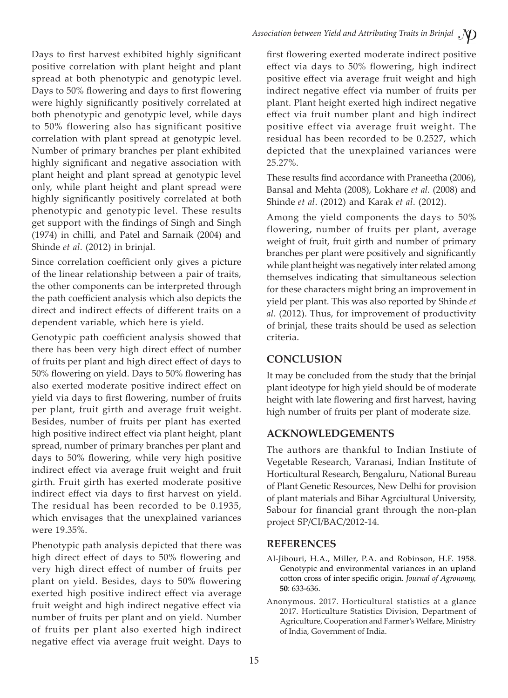Days to first harvest exhibited highly significant positive correlation with plant height and plant spread at both phenotypic and genotypic level. Days to 50% flowering and days to first flowering were highly significantly positively correlated at both phenotypic and genotypic level, while days to 50% flowering also has significant positive correlation with plant spread at genotypic level. Number of primary branches per plant exhibited highly significant and negative association with plant height and plant spread at genotypic level only, while plant height and plant spread were highly significantly positively correlated at both phenotypic and genotypic level. These results get support with the findings of Singh and Singh (1974) in chilli, and Patel and Sarnaik (2004) and Shinde *et al*. (2012) in brinjal.

Since correlation coefficient only gives a picture of the linear relationship between a pair of traits, the other components can be interpreted through the path coefficient analysis which also depicts the direct and indirect effects of different traits on a dependent variable, which here is yield.

Genotypic path coefficient analysis showed that there has been very high direct effect of number of fruits per plant and high direct effect of days to 50% flowering on yield. Days to 50% flowering has also exerted moderate positive indirect effect on yield via days to first flowering, number of fruits per plant, fruit girth and average fruit weight. Besides, number of fruits per plant has exerted high positive indirect effect via plant height, plant spread, number of primary branches per plant and days to 50% flowering, while very high positive indirect effect via average fruit weight and fruit girth. Fruit girth has exerted moderate positive indirect effect via days to first harvest on yield. The residual has been recorded to be 0.1935, which envisages that the unexplained variances were 19.35%.

Phenotypic path analysis depicted that there was high direct effect of days to 50% flowering and very high direct effect of number of fruits per plant on yield. Besides, days to 50% flowering exerted high positive indirect effect via average fruit weight and high indirect negative effect via number of fruits per plant and on yield. Number of fruits per plant also exerted high indirect negative effect via average fruit weight. Days to

first flowering exerted moderate indirect positive effect via days to 50% flowering, high indirect positive effect via average fruit weight and high indirect negative effect via number of fruits per plant. Plant height exerted high indirect negative effect via fruit number plant and high indirect positive effect via average fruit weight. The residual has been recorded to be 0.2527, which depicted that the unexplained variances were 25.27%.

These results find accordance with Praneetha (2006), Bansal and Mehta (2008), Lokhare *et al.* (2008) and Shinde *et al*. (2012) and Karak *et al*. (2012).

Among the yield components the days to 50% flowering, number of fruits per plant, average weight of fruit, fruit girth and number of primary branches per plant were positively and significantly while plant height was negatively inter related among themselves indicating that simultaneous selection for these characters might bring an improvement in yield per plant. This was also reported by Shinde *et al*. (2012). Thus, for improvement of productivity of brinjal, these traits should be used as selection criteria.

# **CONCLUSION**

It may be concluded from the study that the brinjal plant ideotype for high yield should be of moderate height with late flowering and first harvest, having high number of fruits per plant of moderate size.

# **ACKNOWLEDGEMENTS**

The authors are thankful to Indian Instiute of Vegetable Research, Varanasi, Indian Institute of Horticultural Research, Bengaluru, National Bureau of Plant Genetic Resources, New Delhi for provision of plant materials and Bihar Agrciultural University, Sabour for financial grant through the non-plan project SP/CI/BAC/2012-14.

# **REFERENCES**

- Al-Jibouri, H.A., Miller, P.A. and Robinson, H.F. 1958. Genotypic and environmental variances in an upland cotton cross of inter specific origin. *Journal of Agronomy,*  **50**: 633-636.
- Anonymous. 2017. Horticultural statistics at a glance 2017. Horticulture Statistics Division, Department of Agriculture, Cooperation and Farmer's Welfare, Ministry of India, Government of India.